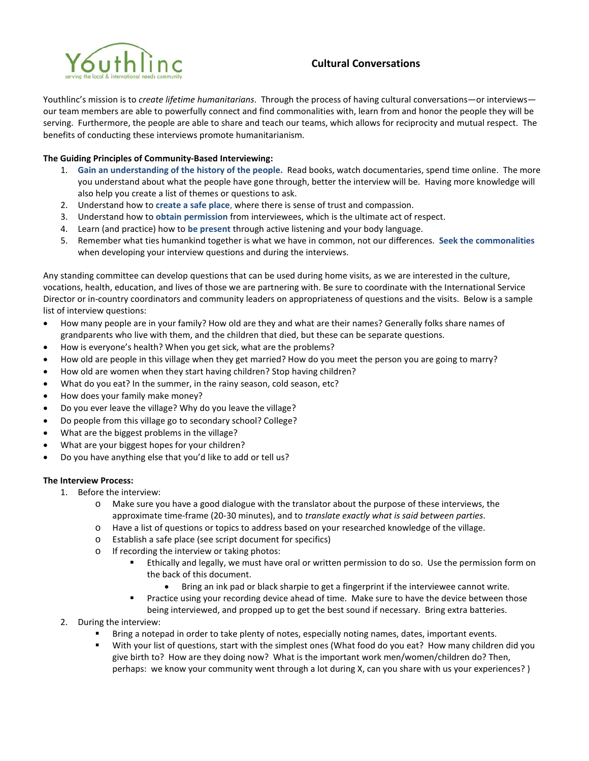

## **Cultural Conversations**

Youthlinc's mission is to *create lifetime humanitarians*. Through the process of having cultural conversations—or interviews our team members are able to powerfully connect and find commonalities with, learn from and honor the people they will be serving. Furthermore, the people are able to share and teach our teams, which allows for reciprocity and mutual respect. The benefits of conducting these interviews promote humanitarianism.

## **The Guiding Principles of Community-Based Interviewing:**

- 1. **Gain an understanding of the history of the people.** Read books, watch documentaries, spend time online. The more you understand about what the people have gone through, better the interview will be. Having more knowledge will also help you create a list of themes or questions to ask.
- 2. Understand how to **create a safe place**, where there is sense of trust and compassion.
- 3. Understand how to **obtain permission** from interviewees, which is the ultimate act of respect.
- 4. Learn (and practice) how to **be present** through active listening and your body language.
- 5. Remember what ties humankind together is what we have in common, not our differences. **Seek the commonalities**  when developing your interview questions and during the interviews.

Any standing committee can develop questions that can be used during home visits, as we are interested in the culture, vocations, health, education, and lives of those we are partnering with. Be sure to coordinate with the International Service Director or in-country coordinators and community leaders on appropriateness of questions and the visits. Below is a sample list of interview questions:

- How many people are in your family? How old are they and what are their names? Generally folks share names of grandparents who live with them, and the children that died, but these can be separate questions.
- How is everyone's health? When you get sick, what are the problems?
- How old are people in this village when they get married? How do you meet the person you are going to marry?
- How old are women when they start having children? Stop having children?
- What do you eat? In the summer, in the rainy season, cold season, etc?
- How does your family make money?
- Do you ever leave the village? Why do you leave the village?
- Do people from this village go to secondary school? College?
- What are the biggest problems in the village?
- What are your biggest hopes for your children?
- Do you have anything else that you'd like to add or tell us?

## **The Interview Process:**

- 1. Before the interview:
	- o Make sure you have a good dialogue with the translator about the purpose of these interviews, the approximate time-frame (20-30 minutes), and to *translate exactly what is said between parties*.
	- o Have a list of questions or topics to address based on your researched knowledge of the village.
	- o Establish a safe place (see script document for specifics)
	- o If recording the interview or taking photos:
		- Ethically and legally, we must have oral or written permission to do so. Use the permission form on the back of this document.
			- Bring an ink pad or black sharpie to get a fingerprint if the interviewee cannot write.
		- **Practice using your recording device ahead of time. Make sure to have the device between those** being interviewed, and propped up to get the best sound if necessary. Bring extra batteries.
- 2. During the interview:
	- Bring a notepad in order to take plenty of notes, especially noting names, dates, important events.
	- With your list of questions, start with the simplest ones (What food do you eat? How many children did you give birth to? How are they doing now? What is the important work men/women/children do? Then, perhaps: we know your community went through a lot during X, can you share with us your experiences? )